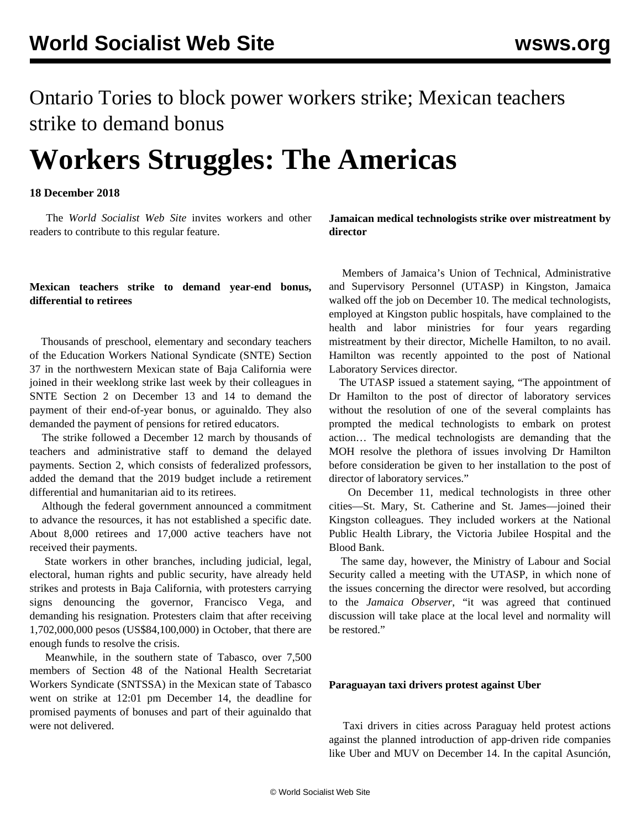## Ontario Tories to block power workers strike; Mexican teachers strike to demand bonus

# **Workers Struggles: The Americas**

#### **18 December 2018**

 The *World Socialist Web Site* invites workers and other readers to contribute to this regular feature.

#### **Mexican teachers strike to demand year-end bonus, differential to retirees**

 Thousands of preschool, elementary and secondary teachers of the Education Workers National Syndicate (SNTE) Section 37 in the northwestern Mexican state of Baja California were joined in their weeklong strike last week by their colleagues in SNTE Section 2 on December 13 and 14 to demand the payment of their end-of-year bonus, or aguinaldo. They also demanded the payment of pensions for retired educators.

 The strike followed a December 12 march by thousands of teachers and administrative staff to demand the delayed payments. Section 2, which consists of federalized professors, added the demand that the 2019 budget include a retirement differential and humanitarian aid to its retirees.

 Although the federal government announced a commitment to advance the resources, it has not established a specific date. About 8,000 retirees and 17,000 active teachers have not received their payments.

 State workers in other branches, including judicial, legal, electoral, human rights and public security, have already held strikes and protests in Baja California, with protesters carrying signs denouncing the governor, Francisco Vega, and demanding his resignation. Protesters claim that after receiving 1,702,000,000 pesos (US\$84,100,000) in October, that there are enough funds to resolve the crisis.

 Meanwhile, in the southern state of Tabasco, over 7,500 members of Section 48 of the National Health Secretariat Workers Syndicate (SNTSSA) in the Mexican state of Tabasco went on strike at 12:01 pm December 14, the deadline for promised payments of bonuses and part of their aguinaldo that were not delivered.

**Jamaican medical technologists strike over mistreatment by director**

 Members of Jamaica's Union of Technical, Administrative and Supervisory Personnel (UTASP) in Kingston, Jamaica walked off the job on December 10. The medical technologists, employed at Kingston public hospitals, have complained to the health and labor ministries for four years regarding mistreatment by their director, Michelle Hamilton, to no avail. Hamilton was recently appointed to the post of National Laboratory Services director.

 The UTASP issued a statement saying, "The appointment of Dr Hamilton to the post of director of laboratory services without the resolution of one of the several complaints has prompted the medical technologists to embark on protest action… The medical technologists are demanding that the MOH resolve the plethora of issues involving Dr Hamilton before consideration be given to her installation to the post of director of laboratory services."

 On December 11, medical technologists in three other cities—St. Mary, St. Catherine and St. James—joined their Kingston colleagues. They included workers at the National Public Health Library, the Victoria Jubilee Hospital and the Blood Bank.

 The same day, however, the Ministry of Labour and Social Security called a meeting with the UTASP, in which none of the issues concerning the director were resolved, but according to the *Jamaica Observer*, "it was agreed that continued discussion will take place at the local level and normality will be restored."

#### **Paraguayan taxi drivers protest against Uber**

 Taxi drivers in cities across Paraguay held protest actions against the planned introduction of app-driven ride companies like Uber and MUV on December 14. In the capital Asunción,